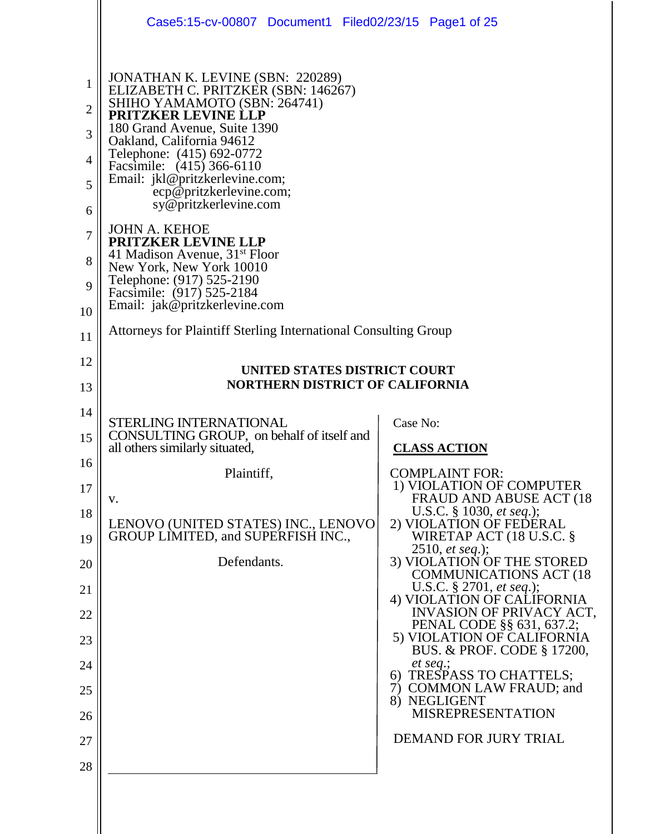|                                                                                        | Case5:15-cv-00807 Document1 Filed02/23/15 Page1 of 25                                                                                                                                                                                                                                                                                                                                                                                                                                                                                                                                                                                    |                                                                                                                                                                                                                                                                                                                                                                                                                                                                                                                                                                                                                                          |  |
|----------------------------------------------------------------------------------------|------------------------------------------------------------------------------------------------------------------------------------------------------------------------------------------------------------------------------------------------------------------------------------------------------------------------------------------------------------------------------------------------------------------------------------------------------------------------------------------------------------------------------------------------------------------------------------------------------------------------------------------|------------------------------------------------------------------------------------------------------------------------------------------------------------------------------------------------------------------------------------------------------------------------------------------------------------------------------------------------------------------------------------------------------------------------------------------------------------------------------------------------------------------------------------------------------------------------------------------------------------------------------------------|--|
| 1<br>$\overline{2}$<br>3<br>4<br>5<br>6<br>7<br>8<br>9<br>10<br>11                     | JONATHAN K. LEVINE (SBN: 220289)<br>ELIZABETH C. PRITZKER (SBN: 146267)<br>SHIHO YAMAMOTO (SBN: 264741)<br>PRITZKER LEVINE LLP<br>180 Grand Avenue, Suite 1390<br>Oakland, California 94612<br>Telephone: (415) 692-0772<br>Facsimile: (415) 366-6110<br>Email: jkl@pritzkerlevine.com;<br>ecp@pritzkerlevine.com;<br>sy@pritzkerlevine.com<br><b>JOHN A. KEHOE</b><br>PRITZKER LEVINE LLP<br>41 Madison Avenue, 31 <sup>st</sup> Floor<br>New York, New York 10010<br>Telephone: (917) 525-2190<br>Facsimile: (917) 525-2184<br>Email: jak@pritzkerlevine.com<br><b>Attorneys for Plaintiff Sterling International Consulting Group</b> |                                                                                                                                                                                                                                                                                                                                                                                                                                                                                                                                                                                                                                          |  |
| 12<br>13                                                                               | UNITED STATES DISTRICT COURT<br><b>NORTHERN DISTRICT OF CALIFORNIA</b>                                                                                                                                                                                                                                                                                                                                                                                                                                                                                                                                                                   |                                                                                                                                                                                                                                                                                                                                                                                                                                                                                                                                                                                                                                          |  |
| 14<br>15<br>16<br>17<br>18<br>19<br>20<br>21<br>22<br>23<br>24<br>25<br>26<br>27<br>28 | STERLING INTERNATIONAL<br>CONSULTING GROUP, on behalf of itself and<br>all others similarly situated,<br>Plaintiff,<br>V.<br>LENOVO (UNITED STATES) INC., LENOVO<br>GROUP LIMITED, and SUPERFISH INC.,<br>Defendants.                                                                                                                                                                                                                                                                                                                                                                                                                    | Case No:<br><b>CLASS ACTION</b><br><b>COMPLAINT FOR:</b><br>1) VIOLATION OF COMPUTER<br>FRAUD AND ABUSE ACT (18)<br>U.S.C. § 1030, et seq.);<br>2) VIOLATION OF FEDERAL<br>WIRETAP ACT $(18 \text{ U.S.C. }$ §<br>2510, <i>et seq.</i> );<br>3) VIOLATION OF THE STORED<br><b>COMMUNICATIONS ACT (18)</b><br>U.S.C. § 2701, et seq.);<br>4) VIOLATION OF CALIFORNIA<br>INVASION OF PRIVACY ACT,<br>PENAL CODE §§ 631, 637.2;<br>5) VIOLATION OF CALIFORNIA<br>BUS. & PROF. CODE § 17200,<br>et seq.;<br>6) TRESPASS TO CHATTELS;<br>7) COMMON LAW FRAUD; and<br>8) NEGLIGENT<br><b>MISREPRESENTATION</b><br><b>DEMAND FOR JURY TRIAL</b> |  |
|                                                                                        |                                                                                                                                                                                                                                                                                                                                                                                                                                                                                                                                                                                                                                          |                                                                                                                                                                                                                                                                                                                                                                                                                                                                                                                                                                                                                                          |  |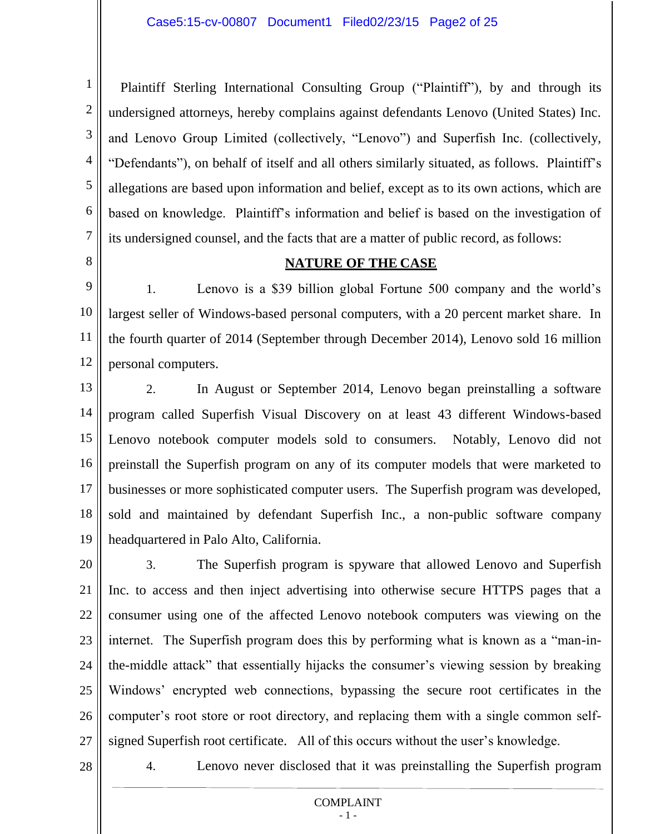1 2 3 4 5 6 7 Plaintiff Sterling International Consulting Group ("Plaintiff"), by and through its undersigned attorneys, hereby complains against defendants Lenovo (United States) Inc. and Lenovo Group Limited (collectively, "Lenovo") and Superfish Inc. (collectively, "Defendants"), on behalf of itself and all others similarly situated, as follows. Plaintiff's allegations are based upon information and belief, except as to its own actions, which are based on knowledge. Plaintiff's information and belief is based on the investigation of its undersigned counsel, and the facts that are a matter of public record, as follows:

8

### **NATURE OF THE CASE**

9 10 11 12 1. Lenovo is a \$39 billion global Fortune 500 company and the world's largest seller of Windows-based personal computers, with a 20 percent market share. In the fourth quarter of 2014 (September through December 2014), Lenovo sold 16 million personal computers.

13 14 15 16 17 18 19 2. In August or September 2014, Lenovo began preinstalling a software program called Superfish Visual Discovery on at least 43 different Windows-based Lenovo notebook computer models sold to consumers. Notably, Lenovo did not preinstall the Superfish program on any of its computer models that were marketed to businesses or more sophisticated computer users. The Superfish program was developed, sold and maintained by defendant Superfish Inc., a non-public software company headquartered in Palo Alto, California.

20 21 22 23 24 25 26 27 3. The Superfish program is spyware that allowed Lenovo and Superfish Inc. to access and then inject advertising into otherwise secure HTTPS pages that a consumer using one of the affected Lenovo notebook computers was viewing on the internet. The Superfish program does this by performing what is known as a "man-inthe-middle attack" that essentially hijacks the consumer's viewing session by breaking Windows' encrypted web connections, bypassing the secure root certificates in the computer's root store or root directory, and replacing them with a single common selfsigned Superfish root certificate. All of this occurs without the user's knowledge.

28

4. Lenovo never disclosed that it was preinstalling the Superfish program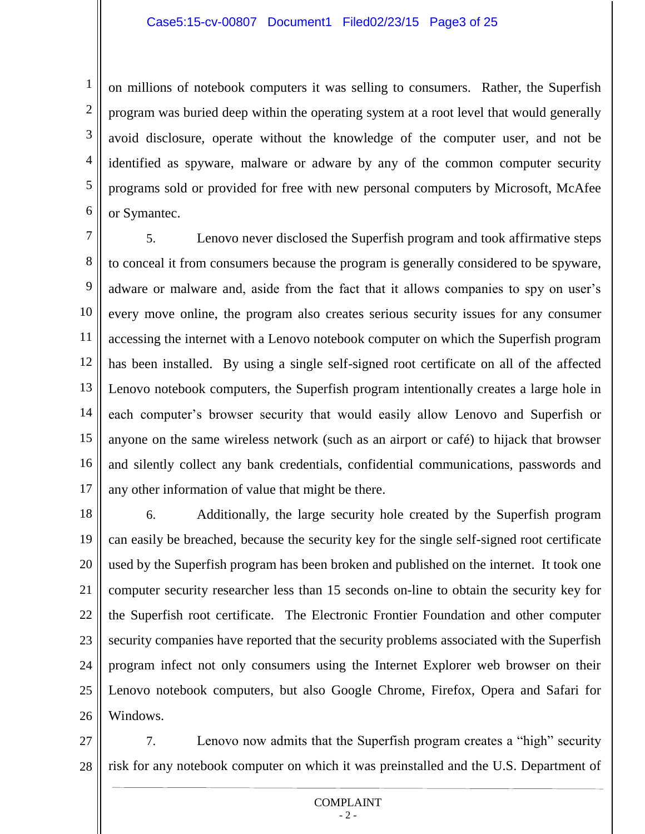2

3

4

5

6

on millions of notebook computers it was selling to consumers. Rather, the Superfish program was buried deep within the operating system at a root level that would generally avoid disclosure, operate without the knowledge of the computer user, and not be identified as spyware, malware or adware by any of the common computer security programs sold or provided for free with new personal computers by Microsoft, McAfee or Symantec.

7 8 9 10 11 12 13 14 15 16 17 5. Lenovo never disclosed the Superfish program and took affirmative steps to conceal it from consumers because the program is generally considered to be spyware, adware or malware and, aside from the fact that it allows companies to spy on user's every move online, the program also creates serious security issues for any consumer accessing the internet with a Lenovo notebook computer on which the Superfish program has been installed. By using a single self-signed root certificate on all of the affected Lenovo notebook computers, the Superfish program intentionally creates a large hole in each computer's browser security that would easily allow Lenovo and Superfish or anyone on the same wireless network (such as an airport or café) to hijack that browser and silently collect any bank credentials, confidential communications, passwords and any other information of value that might be there.

18 19 20 21 22 23 24 25 26 6. Additionally, the large security hole created by the Superfish program can easily be breached, because the security key for the single self-signed root certificate used by the Superfish program has been broken and published on the internet. It took one computer security researcher less than 15 seconds on-line to obtain the security key for the Superfish root certificate. The Electronic Frontier Foundation and other computer security companies have reported that the security problems associated with the Superfish program infect not only consumers using the Internet Explorer web browser on their Lenovo notebook computers, but also Google Chrome, Firefox, Opera and Safari for Windows.

27 28 7. Lenovo now admits that the Superfish program creates a "high" security risk for any notebook computer on which it was preinstalled and the U.S. Department of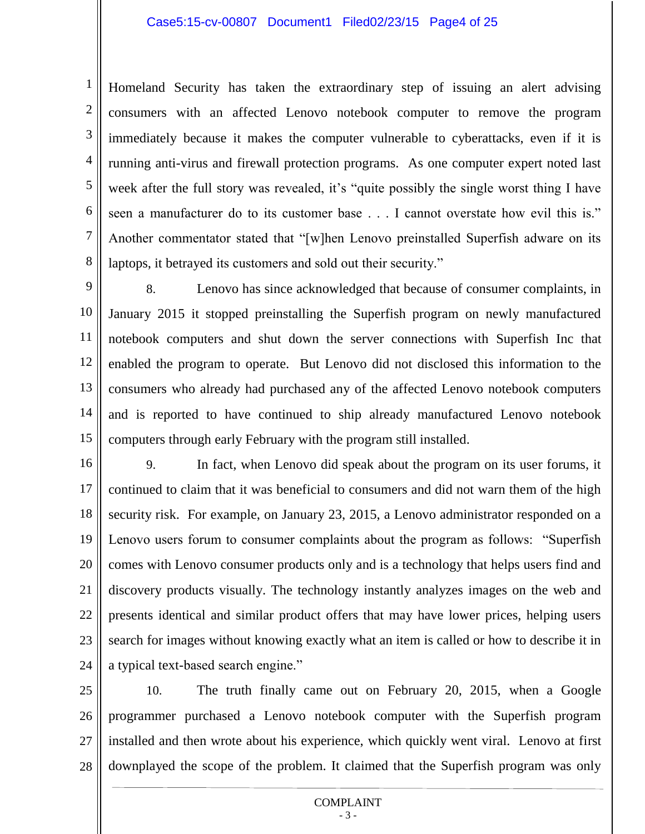### Case5:15-cv-00807 Document1 Filed02/23/15 Page4 of 25

1

2

3

4

5

6

7

8

Homeland Security has taken the extraordinary step of issuing an alert advising consumers with an affected Lenovo notebook computer to remove the program immediately because it makes the computer vulnerable to cyberattacks, even if it is running anti-virus and firewall protection programs. As one computer expert noted last week after the full story was revealed, it's "quite possibly the single worst thing I have seen a manufacturer do to its customer base . . . I cannot overstate how evil this is." Another commentator stated that "[w]hen Lenovo preinstalled Superfish adware on its laptops, it betrayed its customers and sold out their security."

9 10 11 12 13 14 15 8. Lenovo has since acknowledged that because of consumer complaints, in January 2015 it stopped preinstalling the Superfish program on newly manufactured notebook computers and shut down the server connections with Superfish Inc that enabled the program to operate. But Lenovo did not disclosed this information to the consumers who already had purchased any of the affected Lenovo notebook computers and is reported to have continued to ship already manufactured Lenovo notebook computers through early February with the program still installed.

16 17 18 19 20 21 22 23 24 9. In fact, when Lenovo did speak about the program on its user forums, it continued to claim that it was beneficial to consumers and did not warn them of the high security risk. For example, on January 23, 2015, a Lenovo administrator responded on a Lenovo users forum to consumer complaints about the program as follows: "Superfish comes with Lenovo consumer products only and is a technology that helps users find and discovery products visually. The technology instantly analyzes images on the web and presents identical and similar product offers that may have lower prices, helping users search for images without knowing exactly what an item is called or how to describe it in a typical text-based search engine."

25 26 27 28 10. The truth finally came out on February 20, 2015, when a Google programmer purchased a Lenovo notebook computer with the Superfish program installed and then wrote about his experience, which quickly went viral. Lenovo at first downplayed the scope of the problem. It claimed that the Superfish program was only

#### COMPLAINT - 3 -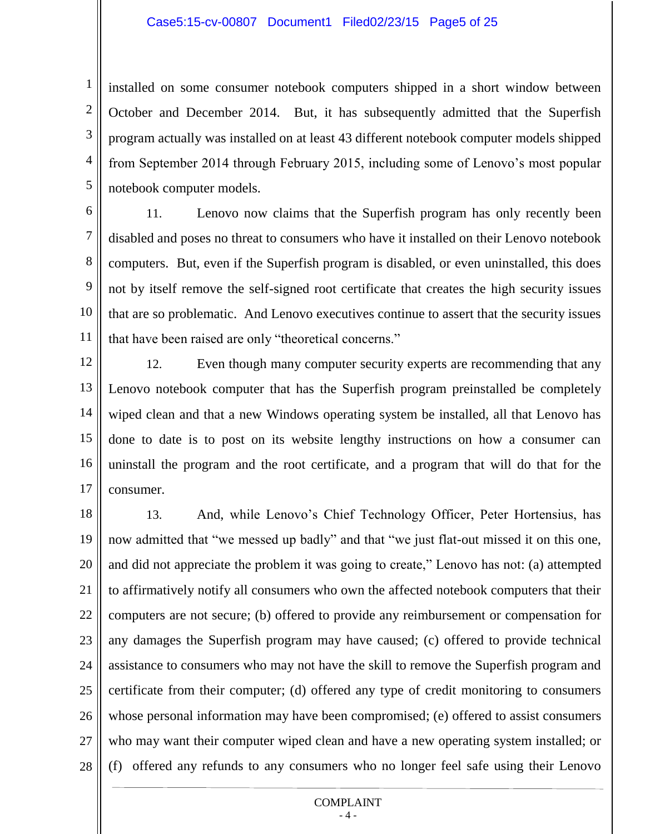installed on some consumer notebook computers shipped in a short window between October and December 2014. But, it has subsequently admitted that the Superfish program actually was installed on at least 43 different notebook computer models shipped from September 2014 through February 2015, including some of Lenovo's most popular notebook computer models.

6

1

2

3

4

5

7 8 9 10 11 11. Lenovo now claims that the Superfish program has only recently been disabled and poses no threat to consumers who have it installed on their Lenovo notebook computers. But, even if the Superfish program is disabled, or even uninstalled, this does not by itself remove the self-signed root certificate that creates the high security issues that are so problematic. And Lenovo executives continue to assert that the security issues that have been raised are only "theoretical concerns."

12 13 14 15 16 17 12. Even though many computer security experts are recommending that any Lenovo notebook computer that has the Superfish program preinstalled be completely wiped clean and that a new Windows operating system be installed, all that Lenovo has done to date is to post on its website lengthy instructions on how a consumer can uninstall the program and the root certificate, and a program that will do that for the consumer.

18 19 20 21 22 23 24 25 26 27 28 13. And, while Lenovo's Chief Technology Officer, Peter Hortensius, has now admitted that "we messed up badly" and that "we just flat-out missed it on this one, and did not appreciate the problem it was going to create," Lenovo has not: (a) attempted to affirmatively notify all consumers who own the affected notebook computers that their computers are not secure; (b) offered to provide any reimbursement or compensation for any damages the Superfish program may have caused; (c) offered to provide technical assistance to consumers who may not have the skill to remove the Superfish program and certificate from their computer; (d) offered any type of credit monitoring to consumers whose personal information may have been compromised; (e) offered to assist consumers who may want their computer wiped clean and have a new operating system installed; or (f) offered any refunds to any consumers who no longer feel safe using their Lenovo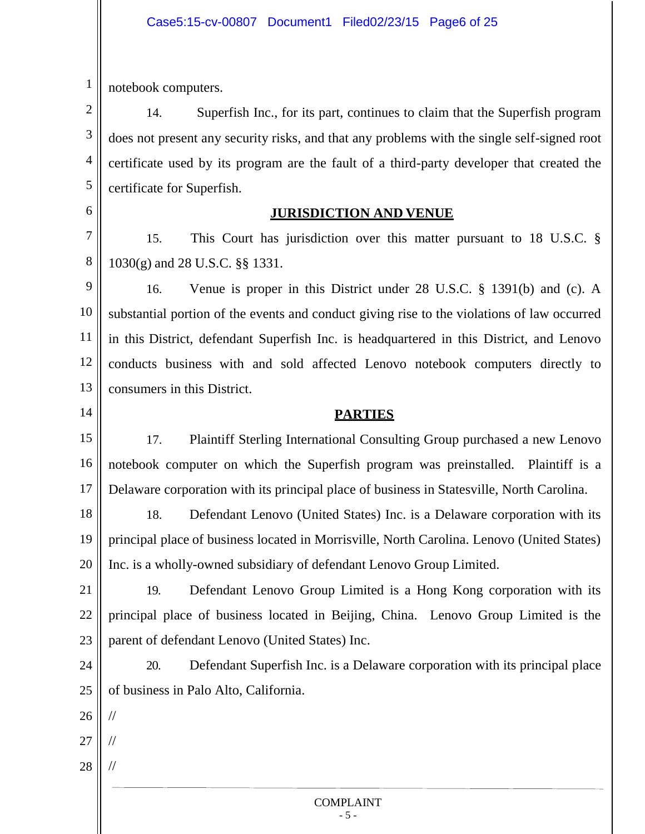1 notebook computers.

2 3 4 5 14. Superfish Inc., for its part, continues to claim that the Superfish program does not present any security risks, and that any problems with the single self-signed root certificate used by its program are the fault of a third-party developer that created the certificate for Superfish.

6

7

8

14

### **JURISDICTION AND VENUE**

15. This Court has jurisdiction over this matter pursuant to 18 U.S.C. § 1030(g) and 28 U.S.C. §§ 1331.

9 10 11 12 13 16. Venue is proper in this District under 28 U.S.C. § 1391(b) and (c). A substantial portion of the events and conduct giving rise to the violations of law occurred in this District, defendant Superfish Inc. is headquartered in this District, and Lenovo conducts business with and sold affected Lenovo notebook computers directly to consumers in this District.

### **PARTIES**

15 16 17 17. Plaintiff Sterling International Consulting Group purchased a new Lenovo notebook computer on which the Superfish program was preinstalled. Plaintiff is a Delaware corporation with its principal place of business in Statesville, North Carolina.

18 19 20 18. Defendant Lenovo (United States) Inc. is a Delaware corporation with its principal place of business located in Morrisville, North Carolina. Lenovo (United States) Inc. is a wholly-owned subsidiary of defendant Lenovo Group Limited.

21 22 23 19. Defendant Lenovo Group Limited is a Hong Kong corporation with its principal place of business located in Beijing, China. Lenovo Group Limited is the parent of defendant Lenovo (United States) Inc.

24 25 20. Defendant Superfish Inc. is a Delaware corporation with its principal place of business in Palo Alto, California.

26 //

27

//

//

28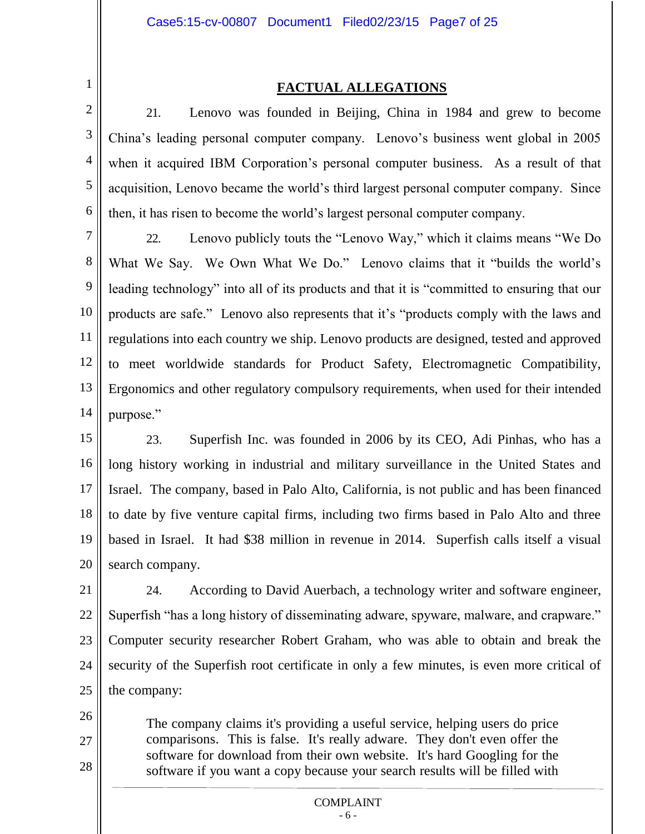3

4

5

6

1

### **FACTUAL ALLEGATIONS**

21. Lenovo was founded in Beijing, China in 1984 and grew to become China's leading personal computer company. Lenovo's business went global in 2005 when it acquired IBM Corporation's personal computer business. As a result of that acquisition, Lenovo became the world's third largest personal computer company. Since then, it has risen to become the world's largest personal computer company.

7 8 9 10 11 12 13 14 22. Lenovo publicly touts the "Lenovo Way," which it claims means "We Do What We Say. We Own What We Do." Lenovo claims that it "builds the world's leading technology" into all of its products and that it is "committed to ensuring that our products are safe." Lenovo also represents that it's "products comply with the laws and regulations into each country we ship. Lenovo products are designed, tested and approved to meet worldwide standards for Product Safety, Electromagnetic Compatibility, Ergonomics and other regulatory compulsory requirements, when used for their intended purpose."

15 16 17 18 19 20 23. Superfish Inc. was founded in 2006 by its CEO, Adi Pinhas, who has a long history working in industrial and military surveillance in the United States and Israel. The company, based in Palo Alto, California, is not public and has been financed to date by five venture capital firms, including two firms based in Palo Alto and three based in Israel. It had \$38 million in revenue in 2014. Superfish calls itself a visual search company.

21 22 23 24 25 24. According to David Auerbach, a technology writer and software engineer, Superfish "has a long history of disseminating adware, spyware, malware, and crapware." Computer security researcher Robert Graham, who was able to obtain and break the security of the Superfish root certificate in only a few minutes, is even more critical of the company:

26

27

28

The company claims it's providing a useful service, helping users do price comparisons. This is false. It's really adware. They don't even offer the software for download from their own website. It's hard Googling for the software if you want a copy because your search results will be filled with

#### COMPLAINT - 6 -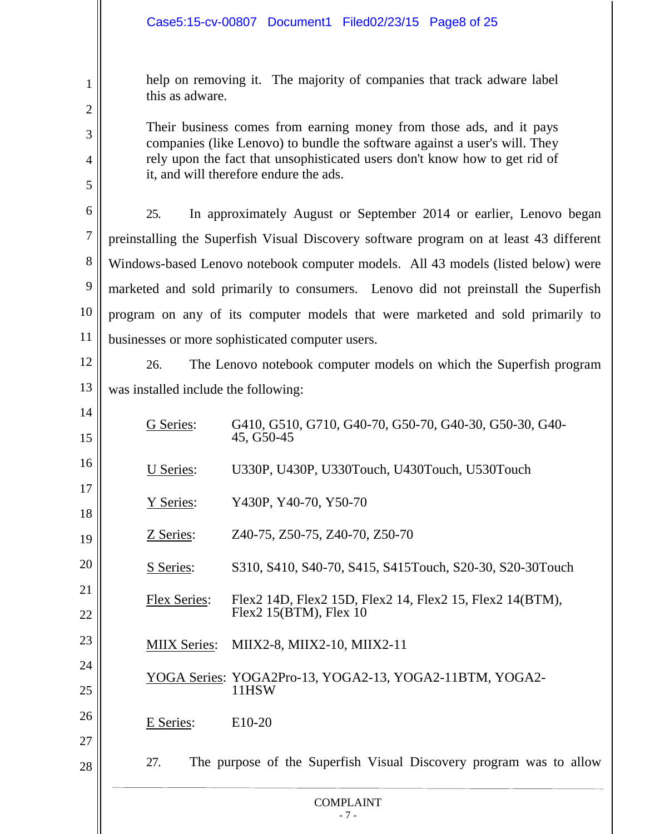|                  | Case5:15-cv-00807 Document1 Filed02/23/15 Page8 of 25                                                                |  |  |  |  |  |
|------------------|----------------------------------------------------------------------------------------------------------------------|--|--|--|--|--|
| 1                | help on removing it. The majority of companies that track adware label<br>this as adware.                            |  |  |  |  |  |
| $\overline{2}$   | Their business comes from earning money from those ads, and it pays                                                  |  |  |  |  |  |
| 3                | companies (like Lenovo) to bundle the software against a user's will. They                                           |  |  |  |  |  |
| 4                | rely upon the fact that unsophisticated users don't know how to get rid of<br>it, and will therefore endure the ads. |  |  |  |  |  |
| 5                |                                                                                                                      |  |  |  |  |  |
| 6                | 25.<br>In approximately August or September 2014 or earlier, Lenovo began                                            |  |  |  |  |  |
| $\boldsymbol{7}$ | preinstalling the Superfish Visual Discovery software program on at least 43 different                               |  |  |  |  |  |
| 8                | Windows-based Lenovo notebook computer models. All 43 models (listed below) were                                     |  |  |  |  |  |
| 9                | marketed and sold primarily to consumers. Lenovo did not preinstall the Superfish                                    |  |  |  |  |  |
| 10               | program on any of its computer models that were marketed and sold primarily to                                       |  |  |  |  |  |
| 11               | businesses or more sophisticated computer users.                                                                     |  |  |  |  |  |
| 12               | 26.<br>The Lenovo notebook computer models on which the Superfish program                                            |  |  |  |  |  |
| 13               | was installed include the following:                                                                                 |  |  |  |  |  |
| 14<br>15         | G410, G510, G710, G40-70, G50-70, G40-30, G50-30, G40-<br>G Series:<br>45, G50-45                                    |  |  |  |  |  |
| 16               | U330P, U430P, U330Touch, U430Touch, U530Touch<br>U Series:                                                           |  |  |  |  |  |
| 17<br>18         | Y430P, Y40-70, Y50-70<br>Y Series:                                                                                   |  |  |  |  |  |
| 19               | Z40-75, Z50-75, Z40-70, Z50-70<br>Z Series:                                                                          |  |  |  |  |  |
| 20               | S310, S410, S40-70, S415, S415Touch, S20-30, S20-30Touch<br>S Series:                                                |  |  |  |  |  |
| 21               | <b>Flex Series:</b><br>Flex2 14D, Flex2 15D, Flex2 14, Flex2 15, Flex2 14(BTM),                                      |  |  |  |  |  |
| 22               | Flex2 $15(BTM)$ , Flex $10$                                                                                          |  |  |  |  |  |
| 23               | MIIX2-8, MIIX2-10, MIIX2-11<br><b>MIIX Series:</b>                                                                   |  |  |  |  |  |
| 24               | YOGA Series: YOGA2Pro-13, YOGA2-13, YOGA2-11BTM, YOGA2-                                                              |  |  |  |  |  |
| 25               | 11HSW                                                                                                                |  |  |  |  |  |
| 26               | E Series:<br>E10-20                                                                                                  |  |  |  |  |  |
| 27               |                                                                                                                      |  |  |  |  |  |
| 28               | The purpose of the Superfish Visual Discovery program was to allow<br>27.                                            |  |  |  |  |  |

#### COMPLAINT - 7 -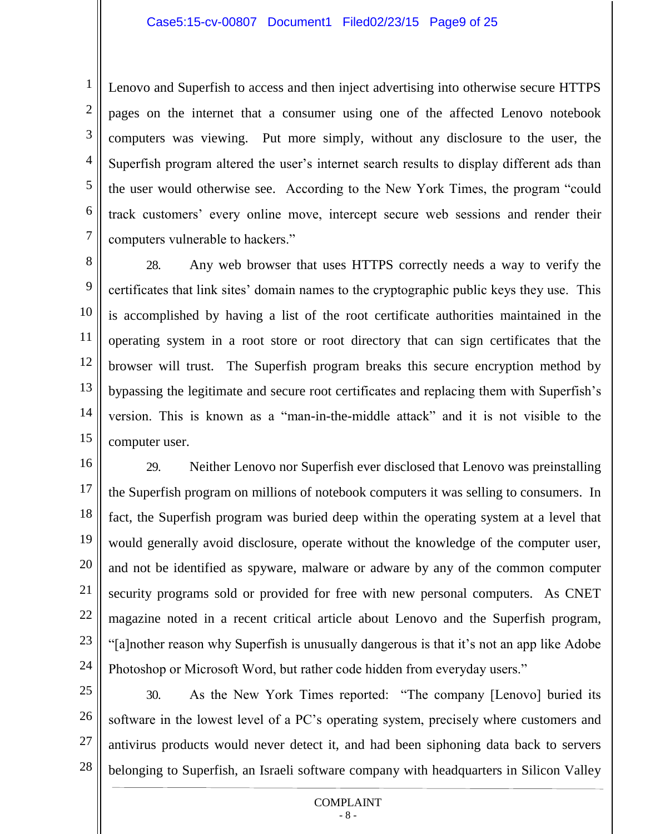Lenovo and Superfish to access and then inject advertising into otherwise secure HTTPS pages on the internet that a consumer using one of the affected Lenovo notebook computers was viewing. Put more simply, without any disclosure to the user, the Superfish program altered the user's internet search results to display different ads than the user would otherwise see. According to the New York Times, the program "could track customers' every online move, intercept secure web sessions and render their computers vulnerable to hackers."

8 9 10 11 13 14 15 28. Any web browser that uses HTTPS correctly needs a way to verify the certificates that link sites' domain names to the cryptographic public keys they use. This is accomplished by having a list of the root certificate authorities maintained in the operating system in a root store or root directory that can sign certificates that the browser will trust. The Superfish program breaks this secure encryption method by bypassing the legitimate and secure root certificates and replacing them with Superfish's version. This is known as a "man-in-the-middle attack" and it is not visible to the computer user.

16 17 18 19 20 21 22 23 24 29. Neither Lenovo nor Superfish ever disclosed that Lenovo was preinstalling the Superfish program on millions of notebook computers it was selling to consumers. In fact, the Superfish program was buried deep within the operating system at a level that would generally avoid disclosure, operate without the knowledge of the computer user, and not be identified as spyware, malware or adware by any of the common computer security programs sold or provided for free with new personal computers. As CNET magazine noted in a recent critical article about Lenovo and the Superfish program, "[a]nother reason why Superfish is unusually dangerous is that it's not an app like Adobe Photoshop or Microsoft Word, but rather code hidden from everyday users."

25 26 27 28 30. As the New York Times reported: "The company [Lenovo] buried its software in the lowest level of a PC's operating system, precisely where customers and antivirus products would never detect it, and had been siphoning data back to servers belonging to Superfish, an Israeli software company with headquarters in Silicon Valley

#### COMPLAINT - 8 -

6

7

1

2

12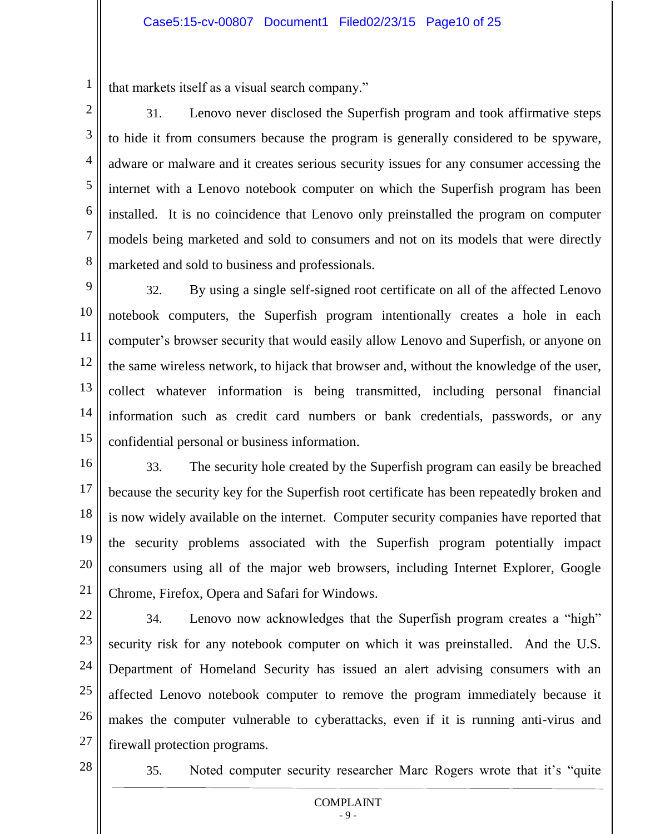that markets itself as a visual search company."

1

2

3

4

5

6

7

8

31. Lenovo never disclosed the Superfish program and took affirmative steps to hide it from consumers because the program is generally considered to be spyware, adware or malware and it creates serious security issues for any consumer accessing the internet with a Lenovo notebook computer on which the Superfish program has been installed. It is no coincidence that Lenovo only preinstalled the program on computer models being marketed and sold to consumers and not on its models that were directly marketed and sold to business and professionals.

9 10 11 12 13 14 15 32. By using a single self-signed root certificate on all of the affected Lenovo notebook computers, the Superfish program intentionally creates a hole in each computer's browser security that would easily allow Lenovo and Superfish, or anyone on the same wireless network, to hijack that browser and, without the knowledge of the user, collect whatever information is being transmitted, including personal financial information such as credit card numbers or bank credentials, passwords, or any confidential personal or business information.

16 17 18 19 20 21 33. The security hole created by the Superfish program can easily be breached because the security key for the Superfish root certificate has been repeatedly broken and is now widely available on the internet. Computer security companies have reported that the security problems associated with the Superfish program potentially impact consumers using all of the major web browsers, including Internet Explorer, Google Chrome, Firefox, Opera and Safari for Windows.

22 23 24 25 26 27 34. Lenovo now acknowledges that the Superfish program creates a "high" security risk for any notebook computer on which it was preinstalled. And the U.S. Department of Homeland Security has issued an alert advising consumers with an affected Lenovo notebook computer to remove the program immediately because it makes the computer vulnerable to cyberattacks, even if it is running anti-virus and firewall protection programs.

28

35. Noted computer security researcher Marc Rogers wrote that it's "quite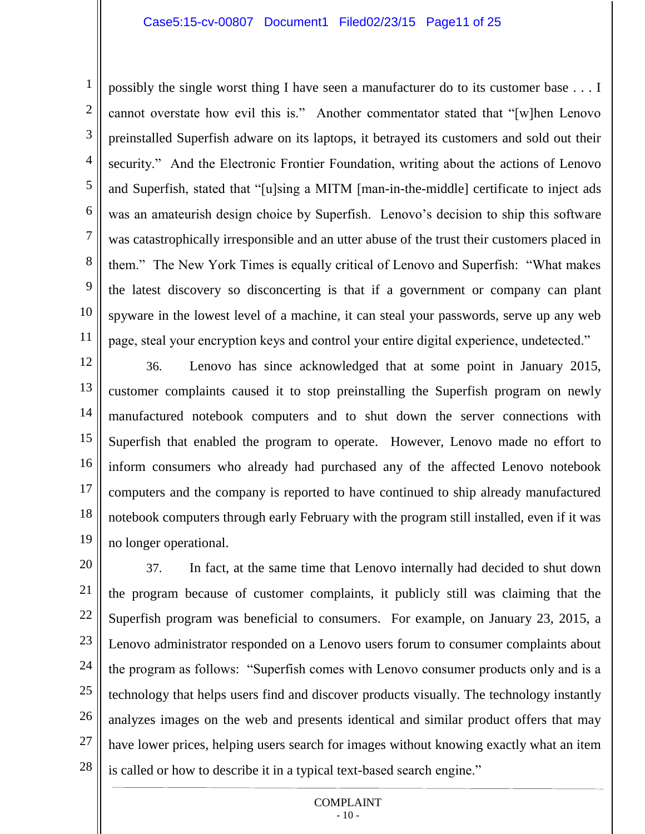2

3

4

5

6

8

9

10

11

7 possibly the single worst thing I have seen a manufacturer do to its customer base . . . I cannot overstate how evil this is." Another commentator stated that "[w]hen Lenovo preinstalled Superfish adware on its laptops, it betrayed its customers and sold out their security." And the Electronic Frontier Foundation, writing about the actions of Lenovo and Superfish, stated that "[u]sing a MITM [man-in-the-middle] certificate to inject ads was an amateurish design choice by Superfish. Lenovo's decision to ship this software was catastrophically irresponsible and an utter abuse of the trust their customers placed in them." The New York Times is equally critical of Lenovo and Superfish: "What makes the latest discovery so disconcerting is that if a government or company can plant spyware in the lowest level of a machine, it can steal your passwords, serve up any web page, steal your encryption keys and control your entire digital experience, undetected."

12 13 14 15 16 17 18 19 36. Lenovo has since acknowledged that at some point in January 2015, customer complaints caused it to stop preinstalling the Superfish program on newly manufactured notebook computers and to shut down the server connections with Superfish that enabled the program to operate. However, Lenovo made no effort to inform consumers who already had purchased any of the affected Lenovo notebook computers and the company is reported to have continued to ship already manufactured notebook computers through early February with the program still installed, even if it was no longer operational.

20 21 22 23 24 25 26 27 28 37. In fact, at the same time that Lenovo internally had decided to shut down the program because of customer complaints, it publicly still was claiming that the Superfish program was beneficial to consumers. For example, on January 23, 2015, a Lenovo administrator responded on a Lenovo users forum to consumer complaints about the program as follows: "Superfish comes with Lenovo consumer products only and is a technology that helps users find and discover products visually. The technology instantly analyzes images on the web and presents identical and similar product offers that may have lower prices, helping users search for images without knowing exactly what an item is called or how to describe it in a typical text-based search engine."

#### COMPLAINT  $-10-$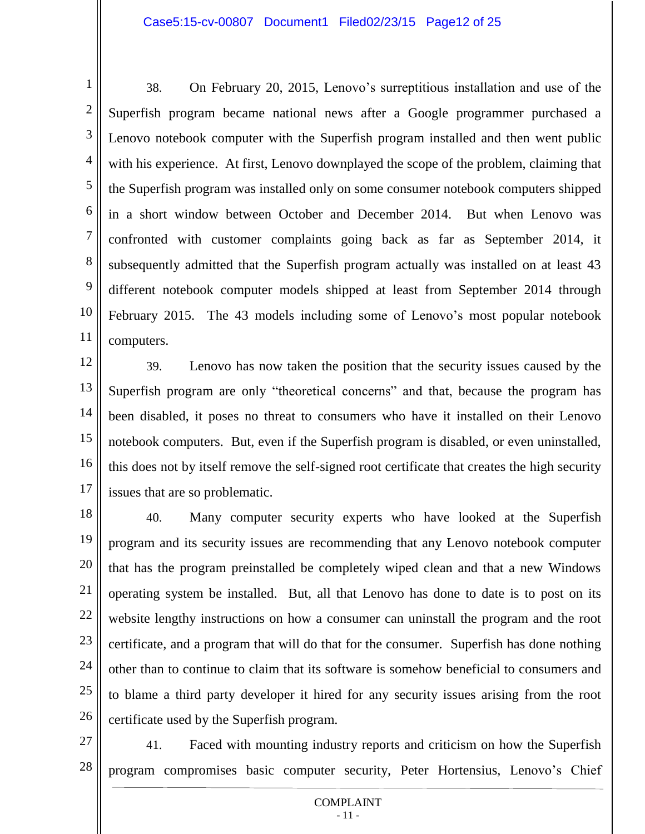1 2 3 4 5 6 7 8 9 10 11 38. On February 20, 2015, Lenovo's surreptitious installation and use of the Superfish program became national news after a Google programmer purchased a Lenovo notebook computer with the Superfish program installed and then went public with his experience. At first, Lenovo downplayed the scope of the problem, claiming that the Superfish program was installed only on some consumer notebook computers shipped in a short window between October and December 2014. But when Lenovo was confronted with customer complaints going back as far as September 2014, it subsequently admitted that the Superfish program actually was installed on at least 43 different notebook computer models shipped at least from September 2014 through February 2015. The 43 models including some of Lenovo's most popular notebook computers.

12 13 14 15 16 17 39. Lenovo has now taken the position that the security issues caused by the Superfish program are only "theoretical concerns" and that, because the program has been disabled, it poses no threat to consumers who have it installed on their Lenovo notebook computers. But, even if the Superfish program is disabled, or even uninstalled, this does not by itself remove the self-signed root certificate that creates the high security issues that are so problematic.

18 19 20 21 22 23 24 25 26 40. Many computer security experts who have looked at the Superfish program and its security issues are recommending that any Lenovo notebook computer that has the program preinstalled be completely wiped clean and that a new Windows operating system be installed. But, all that Lenovo has done to date is to post on its website lengthy instructions on how a consumer can uninstall the program and the root certificate, and a program that will do that for the consumer. Superfish has done nothing other than to continue to claim that its software is somehow beneficial to consumers and to blame a third party developer it hired for any security issues arising from the root certificate used by the Superfish program.

27

28 41. Faced with mounting industry reports and criticism on how the Superfish program compromises basic computer security, Peter Hortensius, Lenovo's Chief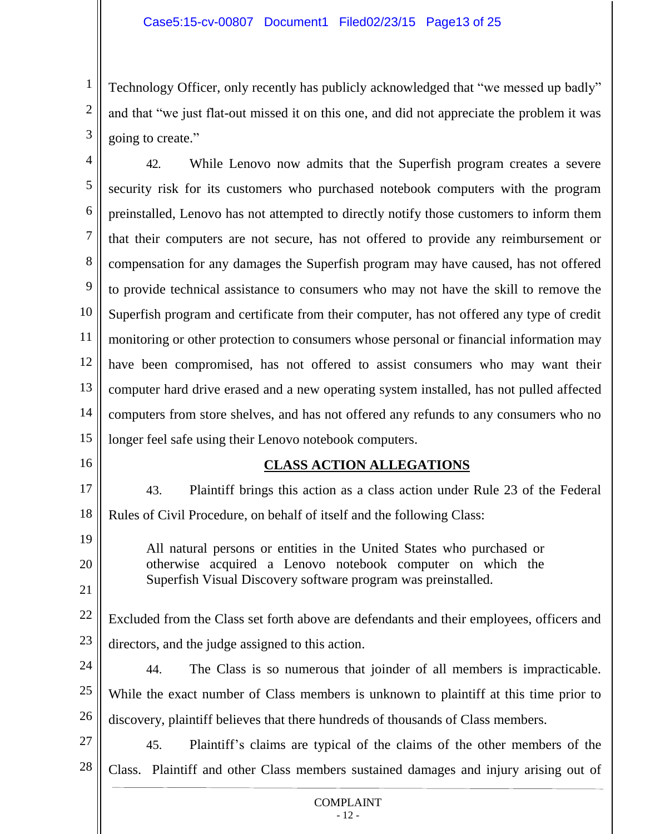Technology Officer, only recently has publicly acknowledged that "we messed up badly" and that "we just flat-out missed it on this one, and did not appreciate the problem it was going to create."

4 5 6 7 8 9 10 11 12 13 14 15 42. While Lenovo now admits that the Superfish program creates a severe security risk for its customers who purchased notebook computers with the program preinstalled, Lenovo has not attempted to directly notify those customers to inform them that their computers are not secure, has not offered to provide any reimbursement or compensation for any damages the Superfish program may have caused, has not offered to provide technical assistance to consumers who may not have the skill to remove the Superfish program and certificate from their computer, has not offered any type of credit monitoring or other protection to consumers whose personal or financial information may have been compromised, has not offered to assist consumers who may want their computer hard drive erased and a new operating system installed, has not pulled affected computers from store shelves, and has not offered any refunds to any consumers who no longer feel safe using their Lenovo notebook computers.

16

19

20

21

1

2

3

# **CLASS ACTION ALLEGATIONS**

17 18 43. Plaintiff brings this action as a class action under Rule 23 of the Federal Rules of Civil Procedure, on behalf of itself and the following Class:

All natural persons or entities in the United States who purchased or otherwise acquired a Lenovo notebook computer on which the Superfish Visual Discovery software program was preinstalled.

22 23 Excluded from the Class set forth above are defendants and their employees, officers and directors, and the judge assigned to this action.

24 25 26 44. The Class is so numerous that joinder of all members is impracticable. While the exact number of Class members is unknown to plaintiff at this time prior to discovery, plaintiff believes that there hundreds of thousands of Class members.

27 28 45. Plaintiff's claims are typical of the claims of the other members of the Class. Plaintiff and other Class members sustained damages and injury arising out of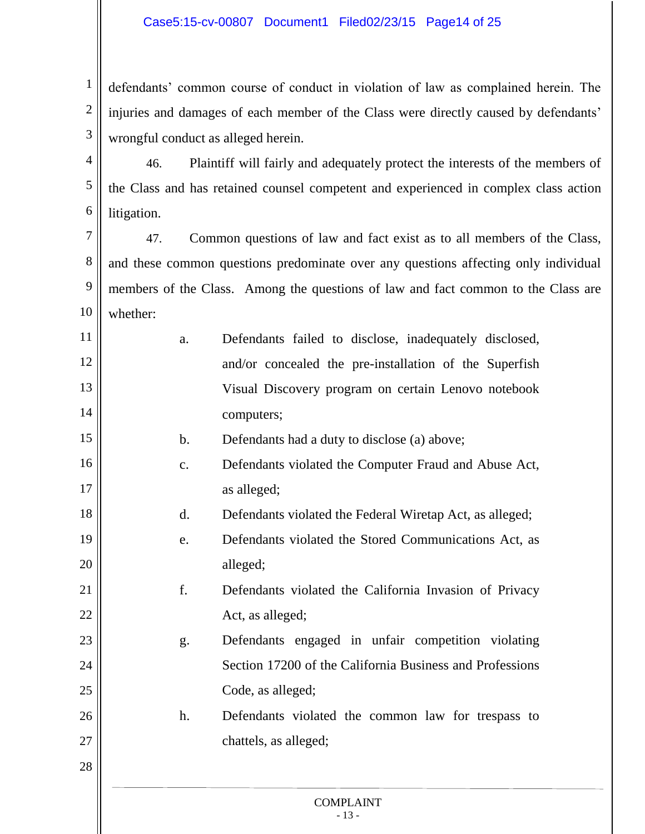1 2 3 defendants' common course of conduct in violation of law as complained herein. The injuries and damages of each member of the Class were directly caused by defendants' wrongful conduct as alleged herein.

4 5 6 46. Plaintiff will fairly and adequately protect the interests of the members of the Class and has retained counsel competent and experienced in complex class action litigation.

7 8 9 10 47. Common questions of law and fact exist as to all members of the Class, and these common questions predominate over any questions affecting only individual members of the Class. Among the questions of law and fact common to the Class are whether:

| 11 | a. | Defendants failed to disclose, inadequately disclosed, |
|----|----|--------------------------------------------------------|
| 12 |    | and/or concealed the pre-installation of the Superfish |
| 13 |    | Visual Discovery program on certain Lenovo notebook    |
| 14 |    | computers;                                             |

b. Defendants had a duty to disclose (a) above;

- 16 17 c. Defendants violated the Computer Fraud and Abuse Act, as alleged;
	- d. Defendants violated the Federal Wiretap Act, as alleged;
- 19 20 e. Defendants violated the Stored Communications Act, as alleged;
	- f. Defendants violated the California Invasion of Privacy Act, as alleged;
		- g. Defendants engaged in unfair competition violating Section 17200 of the California Business and Professions Code, as alleged;
			- h. Defendants violated the common law for trespass to chattels, as alleged;
- 28

15

18

21

22

23

24

25

26

27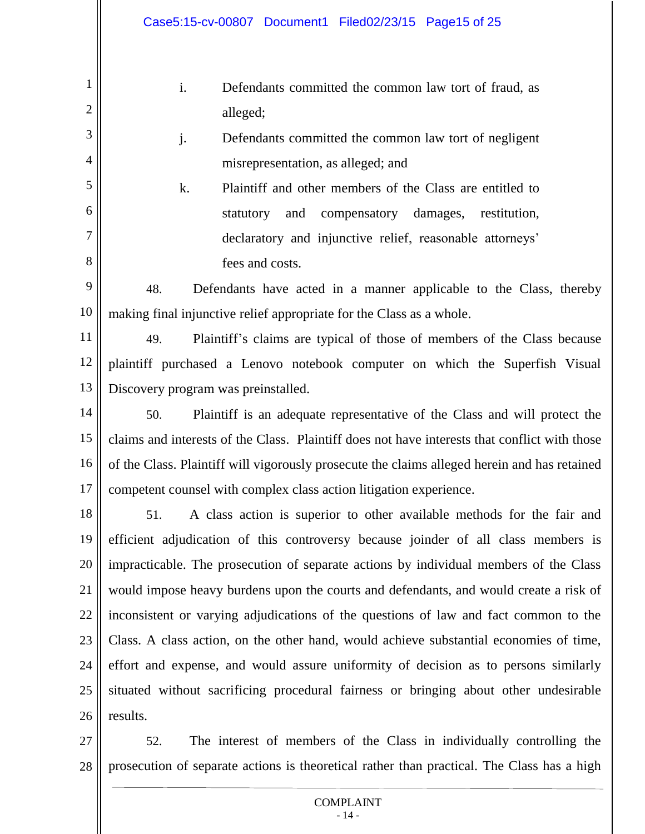2

3

4

5

6

7

8

- i. Defendants committed the common law tort of fraud, as alleged;
- j. Defendants committed the common law tort of negligent misrepresentation, as alleged; and

k. Plaintiff and other members of the Class are entitled to statutory and compensatory damages, restitution, declaratory and injunctive relief, reasonable attorneys' fees and costs.

9 10 48. Defendants have acted in a manner applicable to the Class, thereby making final injunctive relief appropriate for the Class as a whole.

11 12 13 49. Plaintiff's claims are typical of those of members of the Class because plaintiff purchased a Lenovo notebook computer on which the Superfish Visual Discovery program was preinstalled.

14 15 16 17 50. Plaintiff is an adequate representative of the Class and will protect the claims and interests of the Class. Plaintiff does not have interests that conflict with those of the Class. Plaintiff will vigorously prosecute the claims alleged herein and has retained competent counsel with complex class action litigation experience.

18 19 20 21 22 23 24 25 26 51. A class action is superior to other available methods for the fair and efficient adjudication of this controversy because joinder of all class members is impracticable. The prosecution of separate actions by individual members of the Class would impose heavy burdens upon the courts and defendants, and would create a risk of inconsistent or varying adjudications of the questions of law and fact common to the Class. A class action, on the other hand, would achieve substantial economies of time, effort and expense, and would assure uniformity of decision as to persons similarly situated without sacrificing procedural fairness or bringing about other undesirable results.

27 28 52. The interest of members of the Class in individually controlling the prosecution of separate actions is theoretical rather than practical. The Class has a high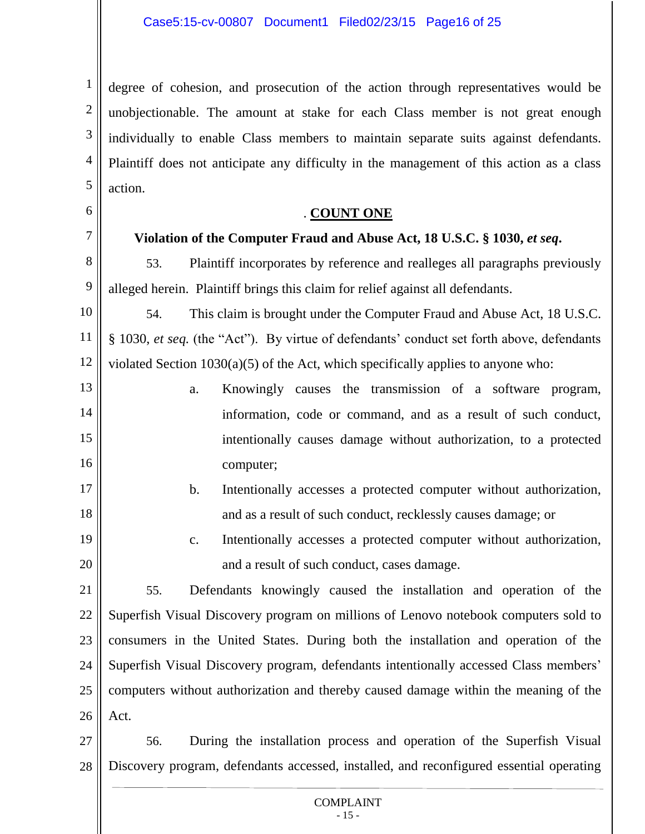1 2 3 4 5 degree of cohesion, and prosecution of the action through representatives would be unobjectionable. The amount at stake for each Class member is not great enough individually to enable Class members to maintain separate suits against defendants. Plaintiff does not anticipate any difficulty in the management of this action as a class action.

# 6

7

8

9

17

18

# . **COUNT ONE**

# **Violation of the Computer Fraud and Abuse Act, 18 U.S.C. § 1030,** *et seq***.**

53. Plaintiff incorporates by reference and realleges all paragraphs previously alleged herein. Plaintiff brings this claim for relief against all defendants.

10 11 12 54. This claim is brought under the Computer Fraud and Abuse Act, 18 U.S.C. § 1030, *et seq.* (the "Act"). By virtue of defendants' conduct set forth above, defendants violated Section 1030(a)(5) of the Act, which specifically applies to anyone who:

- 13 14 15 16 a. Knowingly causes the transmission of a software program, information, code or command, and as a result of such conduct, intentionally causes damage without authorization, to a protected computer;
	- b. Intentionally accesses a protected computer without authorization, and as a result of such conduct, recklessly causes damage; or
- 19 20 c. Intentionally accesses a protected computer without authorization, and a result of such conduct, cases damage.

21 22 23 24 25 26 55. Defendants knowingly caused the installation and operation of the Superfish Visual Discovery program on millions of Lenovo notebook computers sold to consumers in the United States. During both the installation and operation of the Superfish Visual Discovery program, defendants intentionally accessed Class members' computers without authorization and thereby caused damage within the meaning of the Act.

27 28 56. During the installation process and operation of the Superfish Visual Discovery program, defendants accessed, installed, and reconfigured essential operating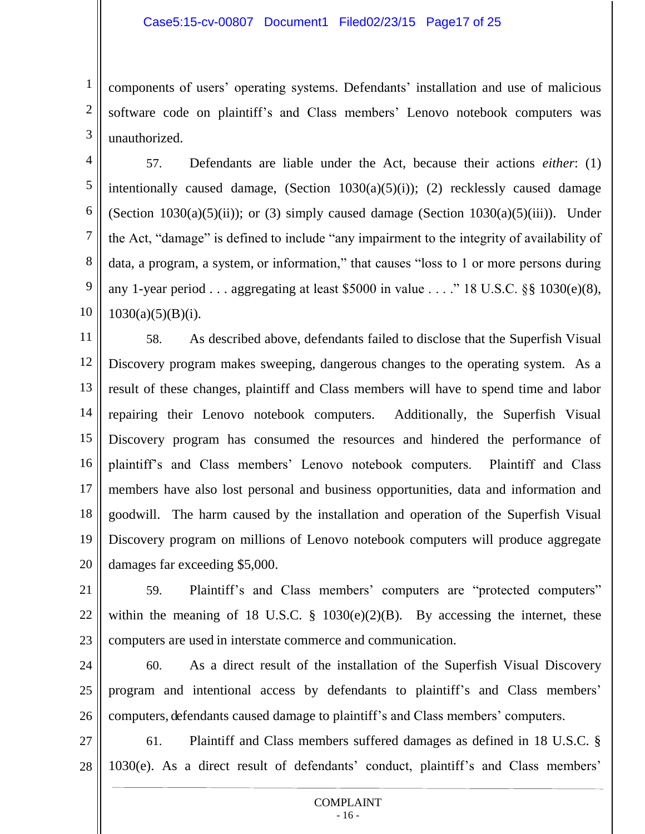1 2 3 components of users' operating systems. Defendants' installation and use of malicious software code on plaintiff's and Class members' Lenovo notebook computers was unauthorized.

4 5 6 7 8 9 10 57. Defendants are liable under the Act, because their actions *either*: (1) intentionally caused damage, (Section 1030(a)(5)(i)); (2) recklessly caused damage (Section 1030(a)(5)(ii)); or (3) simply caused damage (Section  $1030(a)(5)(iii)$ ). Under the Act, "damage" is defined to include "any impairment to the integrity of availability of data, a program, a system, or information," that causes "loss to 1 or more persons during any 1-year period . . . aggregating at least \$5000 in value  $\ldots$  ." 18 U.S.C. §§ 1030(e)(8),  $1030(a)(5)(B)(i)$ .

11 12 13 14 15 16 17 18 19 20 58. As described above, defendants failed to disclose that the Superfish Visual Discovery program makes sweeping, dangerous changes to the operating system. As a result of these changes, plaintiff and Class members will have to spend time and labor repairing their Lenovo notebook computers. Additionally, the Superfish Visual Discovery program has consumed the resources and hindered the performance of plaintiff's and Class members' Lenovo notebook computers. Plaintiff and Class members have also lost personal and business opportunities, data and information and goodwill. The harm caused by the installation and operation of the Superfish Visual Discovery program on millions of Lenovo notebook computers will produce aggregate damages far exceeding \$5,000.

21 22 23 59. Plaintiff's and Class members' computers are "protected computers" within the meaning of 18 U.S.C.  $\S$  1030(e)(2)(B). By accessing the internet, these computers are used in interstate commerce and communication.

24 25 26 60. As a direct result of the installation of the Superfish Visual Discovery program and intentional access by defendants to plaintiff's and Class members' computers, defendants caused damage to plaintiff's and Class members' computers.

27 28 61. Plaintiff and Class members suffered damages as defined in 18 U.S.C. § 1030(e). As a direct result of defendants' conduct, plaintiff's and Class members'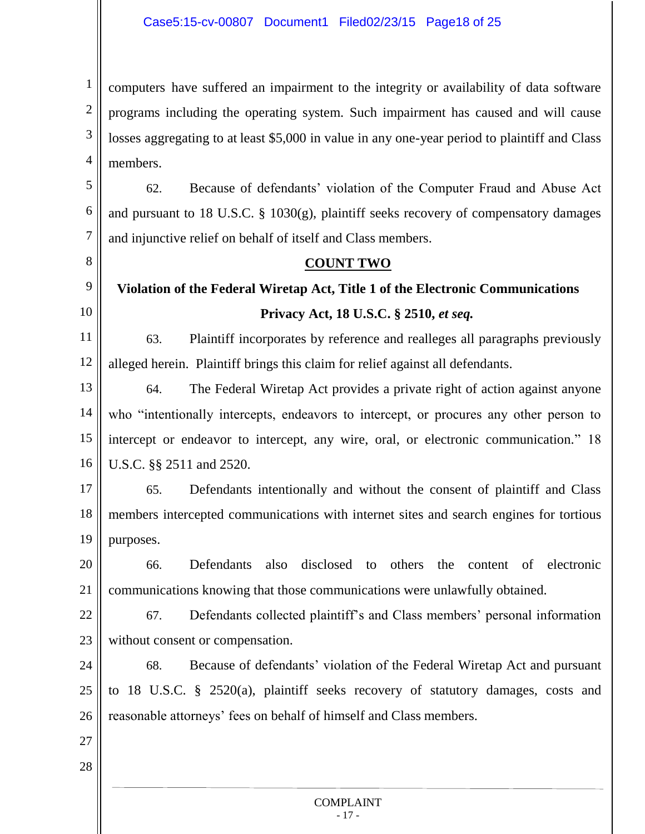1 2 3 4 computers have suffered an impairment to the integrity or availability of data software programs including the operating system. Such impairment has caused and will cause losses aggregating to at least \$5,000 in value in any one-year period to plaintiff and Class members.

5 6 7 62. Because of defendants' violation of the Computer Fraud and Abuse Act and pursuant to 18 U.S.C. § 1030(g), plaintiff seeks recovery of compensatory damages and injunctive relief on behalf of itself and Class members.

# **COUNT TWO**

#### 9 10 **Violation of the Federal Wiretap Act, Title 1 of the Electronic Communications Privacy Act, 18 U.S.C. § 2510,** *et seq.*

11 12 63. Plaintiff incorporates by reference and realleges all paragraphs previously alleged herein. Plaintiff brings this claim for relief against all defendants.

13 14 15 16 64. The Federal Wiretap Act provides a private right of action against anyone who "intentionally intercepts, endeavors to intercept, or procures any other person to intercept or endeavor to intercept, any wire, oral, or electronic communication." 18 U.S.C. §§ 2511 and 2520.

17 18 19 65. Defendants intentionally and without the consent of plaintiff and Class members intercepted communications with internet sites and search engines for tortious purposes.

20 21 66. Defendants also disclosed to others the content of electronic communications knowing that those communications were unlawfully obtained.

22 23 67. Defendants collected plaintiff's and Class members' personal information without consent or compensation.

24 25 26 68. Because of defendants' violation of the Federal Wiretap Act and pursuant to 18 U.S.C. § 2520(a), plaintiff seeks recovery of statutory damages, costs and reasonable attorneys' fees on behalf of himself and Class members.

27

8

28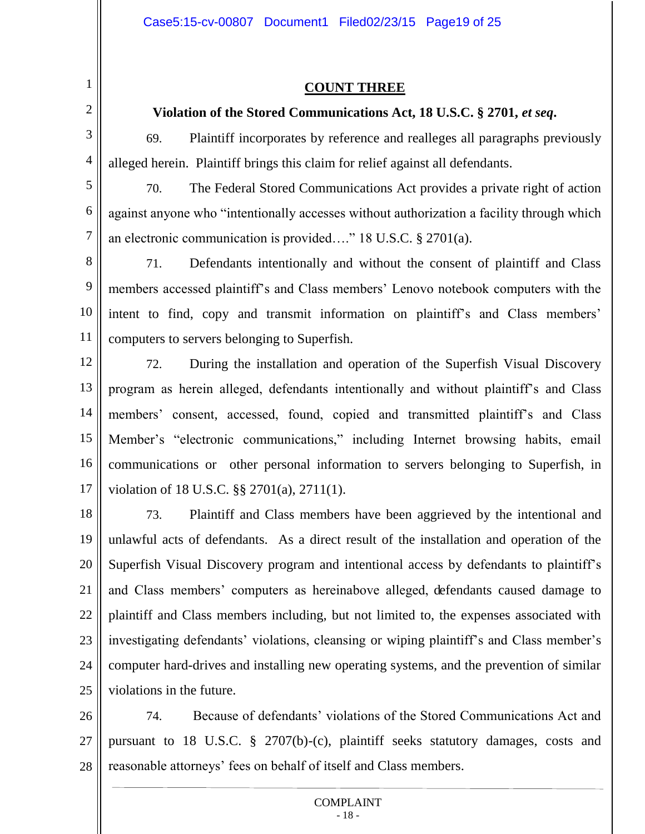2

3

4

### **COUNT THREE**

### **Violation of the Stored Communications Act, 18 U.S.C. § 2701,** *et seq***.**

69. Plaintiff incorporates by reference and realleges all paragraphs previously alleged herein. Plaintiff brings this claim for relief against all defendants.

5 6 7 70. The Federal Stored Communications Act provides a private right of action against anyone who "intentionally accesses without authorization a facility through which an electronic communication is provided…." 18 U.S.C. § 2701(a).

8 9 10 11 71. Defendants intentionally and without the consent of plaintiff and Class members accessed plaintiff's and Class members' Lenovo notebook computers with the intent to find, copy and transmit information on plaintiff's and Class members' computers to servers belonging to Superfish.

12 13 14 15 16 17 72. During the installation and operation of the Superfish Visual Discovery program as herein alleged, defendants intentionally and without plaintiff's and Class members' consent, accessed, found, copied and transmitted plaintiff's and Class Member's "electronic communications," including Internet browsing habits, email communications or other personal information to servers belonging to Superfish, in violation of 18 U.S.C. §§ 2701(a), 2711(1).

18 19 20 21 22 23 24 25 73. Plaintiff and Class members have been aggrieved by the intentional and unlawful acts of defendants. As a direct result of the installation and operation of the Superfish Visual Discovery program and intentional access by defendants to plaintiff's and Class members' computers as hereinabove alleged, defendants caused damage to plaintiff and Class members including, but not limited to, the expenses associated with investigating defendants' violations, cleansing or wiping plaintiff's and Class member's computer hard-drives and installing new operating systems, and the prevention of similar violations in the future.

26 27 28 74. Because of defendants' violations of the Stored Communications Act and pursuant to 18 U.S.C. § 2707(b)-(c), plaintiff seeks statutory damages, costs and reasonable attorneys' fees on behalf of itself and Class members.

#### COMPLAINT - 18 -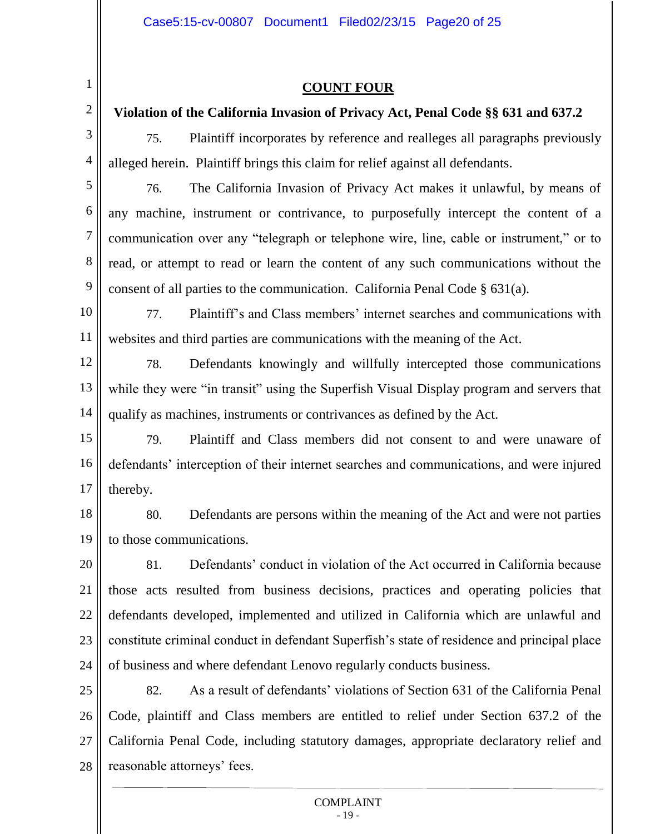2

3

4

5

6

7

8

9

### **COUNT FOUR**

# **Violation of the California Invasion of Privacy Act, Penal Code §§ 631 and 637.2**

75. Plaintiff incorporates by reference and realleges all paragraphs previously alleged herein. Plaintiff brings this claim for relief against all defendants.

76. The California Invasion of Privacy Act makes it unlawful, by means of any machine, instrument or contrivance, to purposefully intercept the content of a communication over any "telegraph or telephone wire, line, cable or instrument," or to read, or attempt to read or learn the content of any such communications without the consent of all parties to the communication. California Penal Code § 631(a).

10 11 77. Plaintiff's and Class members' internet searches and communications with websites and third parties are communications with the meaning of the Act.

12 13 14 78. Defendants knowingly and willfully intercepted those communications while they were "in transit" using the Superfish Visual Display program and servers that qualify as machines, instruments or contrivances as defined by the Act.

15 16 17 79. Plaintiff and Class members did not consent to and were unaware of defendants' interception of their internet searches and communications, and were injured thereby.

18 19 80. Defendants are persons within the meaning of the Act and were not parties to those communications.

20 21 22 23 24 81. Defendants' conduct in violation of the Act occurred in California because those acts resulted from business decisions, practices and operating policies that defendants developed, implemented and utilized in California which are unlawful and constitute criminal conduct in defendant Superfish's state of residence and principal place of business and where defendant Lenovo regularly conducts business.

25 26 27 28 82. As a result of defendants' violations of Section 631 of the California Penal Code, plaintiff and Class members are entitled to relief under Section 637.2 of the California Penal Code, including statutory damages, appropriate declaratory relief and reasonable attorneys' fees.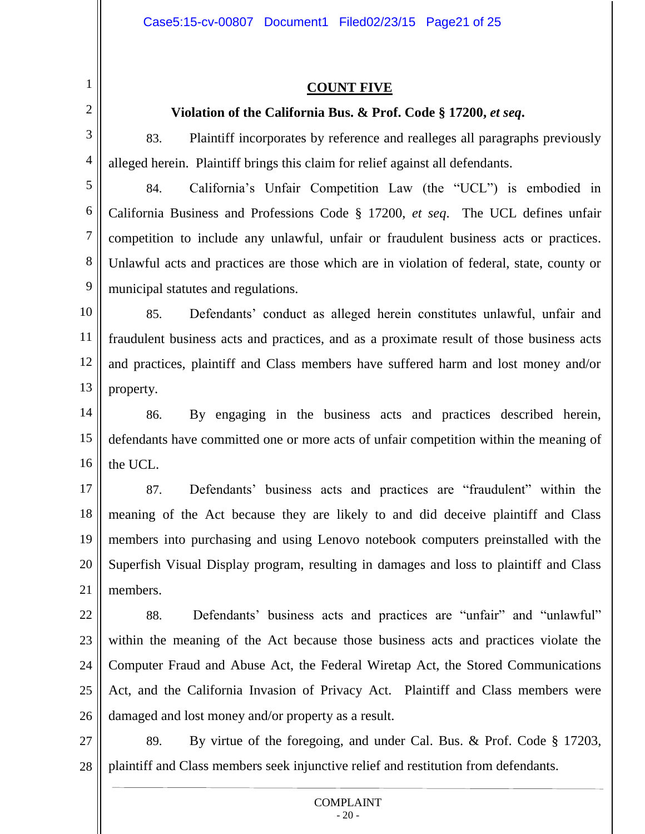### **COUNT FIVE**

# **Violation of the California Bus. & Prof. Code § 17200,** *et seq***.**

2 3

4

1

83. Plaintiff incorporates by reference and realleges all paragraphs previously alleged herein. Plaintiff brings this claim for relief against all defendants.

5 6 7 8 9 84. California's Unfair Competition Law (the "UCL") is embodied in California Business and Professions Code § 17200, *et seq*. The UCL defines unfair competition to include any unlawful, unfair or fraudulent business acts or practices. Unlawful acts and practices are those which are in violation of federal, state, county or municipal statutes and regulations.

10 11 12 13 85. Defendants' conduct as alleged herein constitutes unlawful, unfair and fraudulent business acts and practices, and as a proximate result of those business acts and practices, plaintiff and Class members have suffered harm and lost money and/or property.

14 15 16 86. By engaging in the business acts and practices described herein, defendants have committed one or more acts of unfair competition within the meaning of the UCL.

17 18 19 20 21 87. Defendants' business acts and practices are "fraudulent" within the meaning of the Act because they are likely to and did deceive plaintiff and Class members into purchasing and using Lenovo notebook computers preinstalled with the Superfish Visual Display program, resulting in damages and loss to plaintiff and Class members.

22 23 24 25 26 88. Defendants' business acts and practices are "unfair" and "unlawful" within the meaning of the Act because those business acts and practices violate the Computer Fraud and Abuse Act, the Federal Wiretap Act, the Stored Communications Act, and the California Invasion of Privacy Act. Plaintiff and Class members were damaged and lost money and/or property as a result.

27 28 89. By virtue of the foregoing, and under Cal. Bus. & Prof. Code § 17203, plaintiff and Class members seek injunctive relief and restitution from defendants.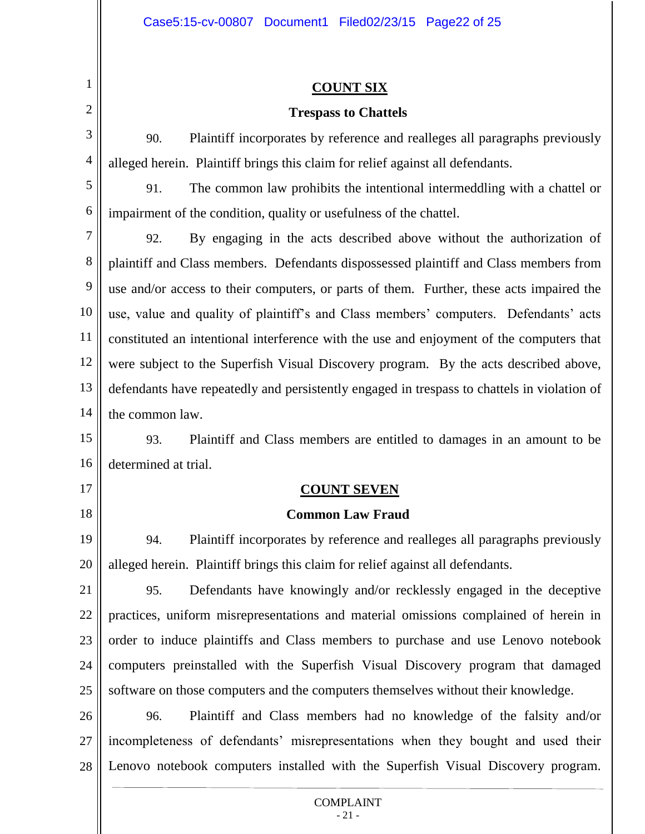### **COUNT SIX**

### **Trespass to Chattels**

90. Plaintiff incorporates by reference and realleges all paragraphs previously alleged herein. Plaintiff brings this claim for relief against all defendants.

5

6

1

2

3

4

91. The common law prohibits the intentional intermeddling with a chattel or impairment of the condition, quality or usefulness of the chattel.

7 8 9 10 11 12 13 14 92. By engaging in the acts described above without the authorization of plaintiff and Class members. Defendants dispossessed plaintiff and Class members from use and/or access to their computers, or parts of them. Further, these acts impaired the use, value and quality of plaintiff's and Class members' computers. Defendants' acts constituted an intentional interference with the use and enjoyment of the computers that were subject to the Superfish Visual Discovery program. By the acts described above, defendants have repeatedly and persistently engaged in trespass to chattels in violation of the common law.

15 16 93. Plaintiff and Class members are entitled to damages in an amount to be determined at trial.

17

18

# **COUNT SEVEN**

# **Common Law Fraud**

19 20 94. Plaintiff incorporates by reference and realleges all paragraphs previously alleged herein. Plaintiff brings this claim for relief against all defendants.

21 22 23 24 25 95. Defendants have knowingly and/or recklessly engaged in the deceptive practices, uniform misrepresentations and material omissions complained of herein in order to induce plaintiffs and Class members to purchase and use Lenovo notebook computers preinstalled with the Superfish Visual Discovery program that damaged software on those computers and the computers themselves without their knowledge.

26 27 28 96. Plaintiff and Class members had no knowledge of the falsity and/or incompleteness of defendants' misrepresentations when they bought and used their Lenovo notebook computers installed with the Superfish Visual Discovery program.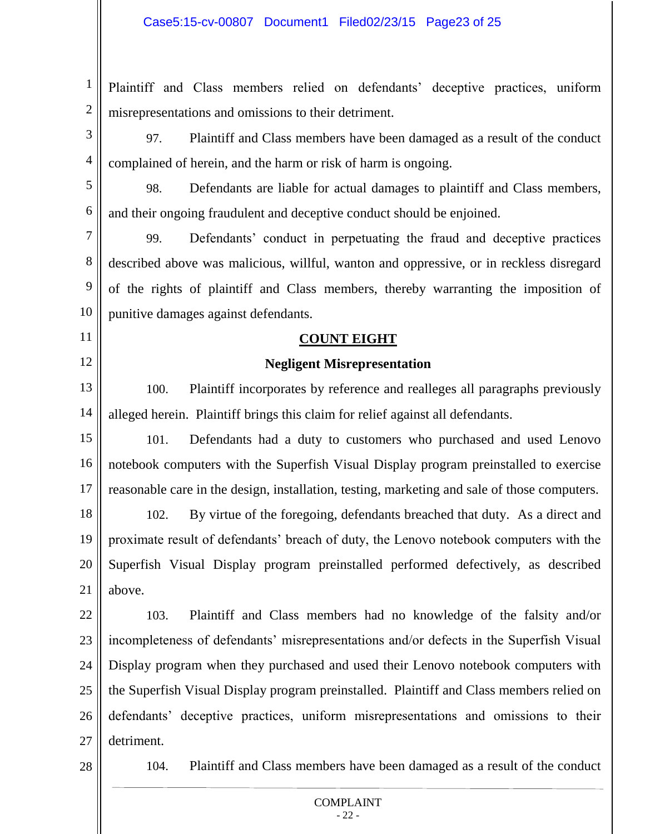1 2 Plaintiff and Class members relied on defendants' deceptive practices, uniform misrepresentations and omissions to their detriment.

3 4 97. Plaintiff and Class members have been damaged as a result of the conduct complained of herein, and the harm or risk of harm is ongoing.

5 6 98. Defendants are liable for actual damages to plaintiff and Class members, and their ongoing fraudulent and deceptive conduct should be enjoined.

7 8 9 10 99. Defendants' conduct in perpetuating the fraud and deceptive practices described above was malicious, willful, wanton and oppressive, or in reckless disregard of the rights of plaintiff and Class members, thereby warranting the imposition of punitive damages against defendants.

# **COUNT EIGHT**

# **Negligent Misrepresentation**

13 14 100. Plaintiff incorporates by reference and realleges all paragraphs previously alleged herein. Plaintiff brings this claim for relief against all defendants.

15 16 17 101. Defendants had a duty to customers who purchased and used Lenovo notebook computers with the Superfish Visual Display program preinstalled to exercise reasonable care in the design, installation, testing, marketing and sale of those computers.

18 19 20 21 102. By virtue of the foregoing, defendants breached that duty. As a direct and proximate result of defendants' breach of duty, the Lenovo notebook computers with the Superfish Visual Display program preinstalled performed defectively, as described above.

22 23 24 25 26 27 103. Plaintiff and Class members had no knowledge of the falsity and/or incompleteness of defendants' misrepresentations and/or defects in the Superfish Visual Display program when they purchased and used their Lenovo notebook computers with the Superfish Visual Display program preinstalled. Plaintiff and Class members relied on defendants' deceptive practices, uniform misrepresentations and omissions to their detriment.

28

11

12

104. Plaintiff and Class members have been damaged as a result of the conduct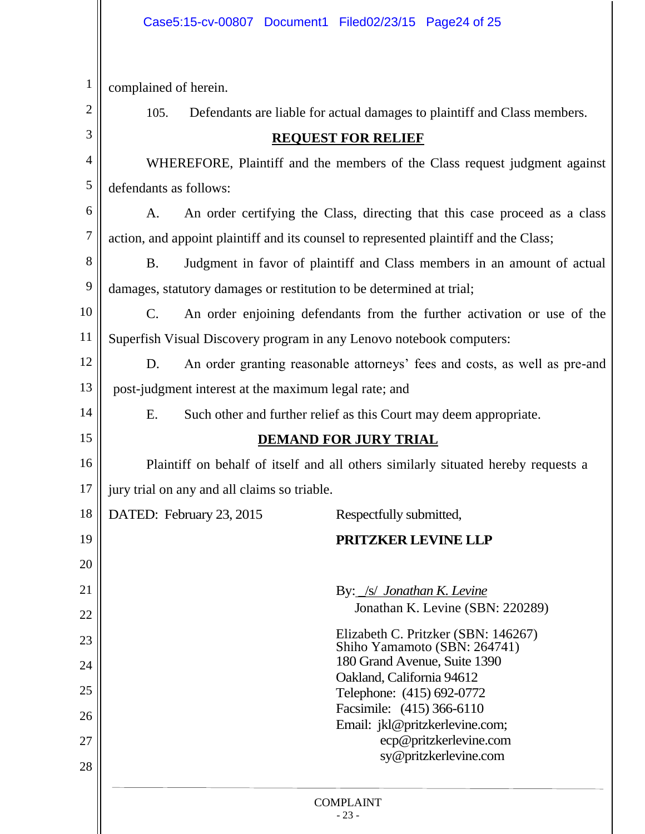| $\mathbf{1}$ | complained of herein.                                                                     |                                                                            |                                                        |  |  |  |
|--------------|-------------------------------------------------------------------------------------------|----------------------------------------------------------------------------|--------------------------------------------------------|--|--|--|
| 2            | 105.                                                                                      | Defendants are liable for actual damages to plaintiff and Class members.   |                                                        |  |  |  |
| 3            | <b>REQUEST FOR RELIEF</b>                                                                 |                                                                            |                                                        |  |  |  |
| 4            | WHEREFORE, Plaintiff and the members of the Class request judgment against                |                                                                            |                                                        |  |  |  |
| 5            | defendants as follows:                                                                    |                                                                            |                                                        |  |  |  |
| 6            | A.                                                                                        | An order certifying the Class, directing that this case proceed as a class |                                                        |  |  |  |
| 7            | action, and appoint plaintiff and its counsel to represented plaintiff and the Class;     |                                                                            |                                                        |  |  |  |
| 8            | Judgment in favor of plaintiff and Class members in an amount of actual<br><b>B.</b>      |                                                                            |                                                        |  |  |  |
| 9            | damages, statutory damages or restitution to be determined at trial;                      |                                                                            |                                                        |  |  |  |
| 10           | An order enjoining defendants from the further activation or use of the<br>$\mathbf{C}$ . |                                                                            |                                                        |  |  |  |
| 11           | Superfish Visual Discovery program in any Lenovo notebook computers:                      |                                                                            |                                                        |  |  |  |
| 12           | An order granting reasonable attorneys' fees and costs, as well as pre-and<br>D.          |                                                                            |                                                        |  |  |  |
| 13           | post-judgment interest at the maximum legal rate; and                                     |                                                                            |                                                        |  |  |  |
| 14           | E.<br>Such other and further relief as this Court may deem appropriate.                   |                                                                            |                                                        |  |  |  |
| 15           |                                                                                           |                                                                            | <b>DEMAND FOR JURY TRIAL</b>                           |  |  |  |
| 16           | Plaintiff on behalf of itself and all others similarly situated hereby requests a         |                                                                            |                                                        |  |  |  |
| 17           | jury trial on any and all claims so triable.                                              |                                                                            |                                                        |  |  |  |
| 18           |                                                                                           | DATED: February 23, 2015                                                   | Respectfully submitted,                                |  |  |  |
| 19           |                                                                                           |                                                                            | PRITZKER LEVINE LLP                                    |  |  |  |
| 20           |                                                                                           |                                                                            |                                                        |  |  |  |
| 21           |                                                                                           |                                                                            | By: /s/ Jonathan K. Levine                             |  |  |  |
| 22           |                                                                                           | Jonathan K. Levine (SBN: 220289)                                           |                                                        |  |  |  |
| 23           | Elizabeth C. Pritzker (SBN: 146267)<br>Shiho Yamamoto (SBN: 264741)                       |                                                                            |                                                        |  |  |  |
| 24           | 180 Grand Avenue, Suite 1390                                                              |                                                                            |                                                        |  |  |  |
| 25           |                                                                                           |                                                                            | Oakland, California 94612<br>Telephone: (415) 692-0772 |  |  |  |
| 26           |                                                                                           |                                                                            | Facsimile: (415) 366-6110                              |  |  |  |
| 27           |                                                                                           | Email: jkl@pritzkerlevine.com;<br>ecp@pritzkerlevine.com                   |                                                        |  |  |  |
| 28           |                                                                                           |                                                                            | sy@pritzkerlevine.com                                  |  |  |  |
|              |                                                                                           |                                                                            |                                                        |  |  |  |
|              | <b>COMPLAINT</b><br>$-23-$                                                                |                                                                            |                                                        |  |  |  |
|              |                                                                                           |                                                                            |                                                        |  |  |  |